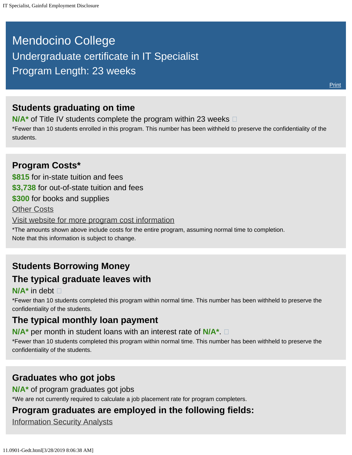# <span id="page-0-0"></span>Mendocino College Undergraduate certificate in IT Specialist Program Length: 23 weeks

### **Students graduating on time**

**N/A<sup>\*</sup>** of Title IV students complete the program within 23 weeks  $\Box$ 

\*Fewer than 10 students enrolled in this program. This number has been withheld to preserve the confidentiality of the students.

### **Program Costs\* \$815** for in-state tuition and fees **\$3,738** for out-of-state tuition and fees **\$300** for books and supplies [Other Costs](#page-0-0) [Visit website for more program cost information](https://www.mendocino.edu/program/it-specialist) \*The amounts shown above include costs for the entire program, assuming normal time to completion. Note that this information is subject to change.

### **Students Borrowing Money The typical graduate leaves with**

#### **N/A\*** in debt

\*Fewer than 10 students completed this program within normal time. This number has been withheld to preserve the confidentiality of the students.

### **The typical monthly loan payment**

**N/A\*** per month in student loans with an interest rate of **N/A\***.

\*Fewer than 10 students completed this program within normal time. This number has been withheld to preserve the confidentiality of the students.

### **Graduates who got jobs**

**N/A\*** of program graduates got jobs

\*We are not currently required to calculate a job placement rate for program completers.

## **Program graduates are employed in the following fields:**

[Information Security Analysts](http://online.onetcenter.org/link/summary/15-1122.00)